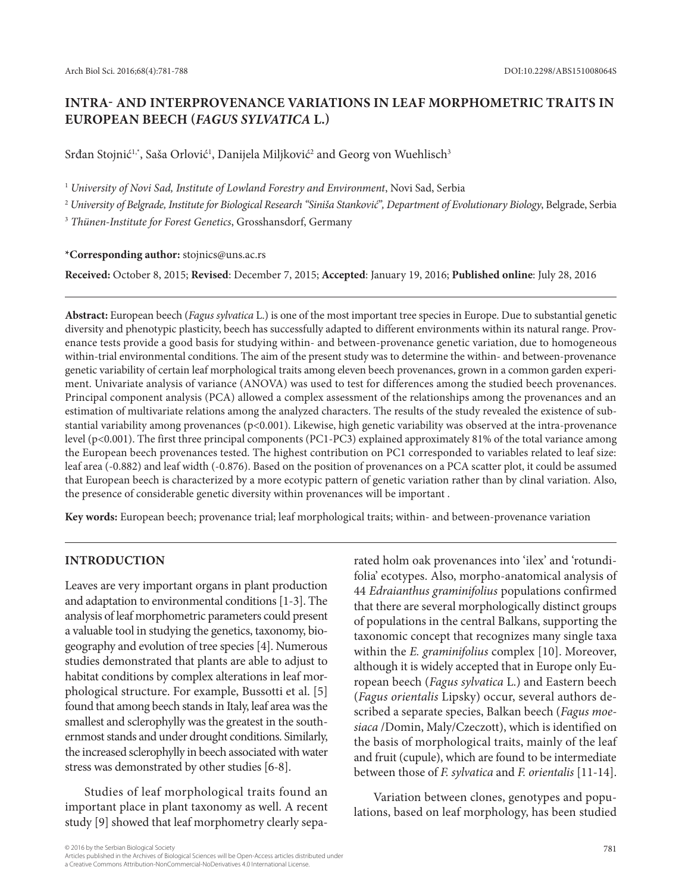# **INTRA- AND INTERPROVENANCE VARIATIONS IN LEAF MORPHOMETRIC TRAITS IN EUROPEAN BEECH (***FAGUS SYLVATICA* **L.)**

Srđan Stojnić<sup>1,</sup>\*, Saša Orlović<sup>1</sup>, Danijela Miljković<sup>2</sup> and Georg von Wuehlisch<sup>3</sup>

<sup>1</sup> *University of Novi Sad, Institute of Lowland Forestry and Environment*, Novi Sad, Serbia

<sup>2</sup> *University of Belgrade, Institute for Biological Research "Siniša Stanković", Department of Evolutionary Biology*, Belgrade, Serbia

<sup>3</sup> *Thünen-Institute for Forest Genetics*, Grosshansdorf, Germany

**\*Corresponding author:** stojnics@uns.ac.rs

**Received:** October 8, 2015; **Revised**: December 7, 2015; **Accepted**: January 19, 2016; **Published online**: July 28, 2016

**Abstract:** European beech (*Fagus sylvatica* L.) is one of the most important tree species in Europe. Due to substantial genetic diversity and phenotypic plasticity, beech has successfully adapted to different environments within its natural range. Provenance tests provide a good basis for studying within- and between-provenance genetic variation, due to homogeneous within-trial environmental conditions. The aim of the present study was to determine the within- and between-provenance genetic variability of certain leaf morphological traits among eleven beech provenances, grown in a common garden experiment. Univariate analysis of variance (ANOVA) was used to test for differences among the studied beech provenances. Principal component analysis (PCA) allowed a complex assessment of the relationships among the provenances and an estimation of multivariate relations among the analyzed characters. The results of the study revealed the existence of substantial variability among provenances (p<0.001). Likewise, high genetic variability was observed at the intra-provenance level (p<0.001). The first three principal components (PC1-PC3) explained approximately 81% of the total variance among the European beech provenances tested. The highest contribution on PC1 corresponded to variables related to leaf size: leaf area (-0.882) and leaf width (-0.876). Based on the position of provenances on a PCA scatter plot, it could be assumed that European beech is characterized by a more ecotypic pattern of genetic variation rather than by clinal variation. Also, the presence of considerable genetic diversity within provenances will be important .

**Key words:** European beech; provenance trial; leaf morphological traits; within- and between-provenance variation

# **INTRODUCTION**

Leaves are very important organs in plant production and adaptation to environmental conditions [1-3]. The analysis of leaf morphometric parameters could present a valuable tool in studying the genetics, taxonomy, biogeography and evolution of tree species [4]. Numerous studies demonstrated that plants are able to adjust to habitat conditions by complex alterations in leaf morphological structure. For example, Bussotti et al. [5] found that among beech stands in Italy, leaf area was the smallest and sclerophylly was the greatest in the southernmost stands and under drought conditions. Similarly, the increased sclerophylly in beech associated with water stress was demonstrated by other studies [6-8].

Studies of leaf morphological traits found an important place in plant taxonomy as well. A recent study [9] showed that leaf morphometry clearly sepa-

rated holm oak provenances into 'ilex' and 'rotundifolia' ecotypes. Also, morpho-anatomical analysis of 44 *Edraianthus graminifolius* populations confirmed that there are several morphologically distinct groups of populations in the central Balkans, supporting the taxonomic concept that recognizes many single taxa within the *E. graminifolius* complex [10]. Moreover, although it is widely accepted that in Europe only European beech (*Fagus sylvatica* L.) and Eastern beech (*Fagus orientalis* Lipsky) occur, several authors described a separate species, Balkan beech (*Fagus moesiaca* /Domin, Maly/Czeczott), which is identified on the basis of morphological traits, mainly of the leaf and fruit (cupule), which are found to be intermediate between those of *F. sylvatica* and *F. orientalis* [11-14].

Variation between clones, genotypes and populations, based on leaf morphology, has been studied

<sup>© 2016</sup> by the Serbian Biological Society 781<br>Articles published in the Archives of Biological Sciences will be Open-Access articles distributed under a Creative Commons Attribution-NonCommercial-NoDerivatives 4.0 International License.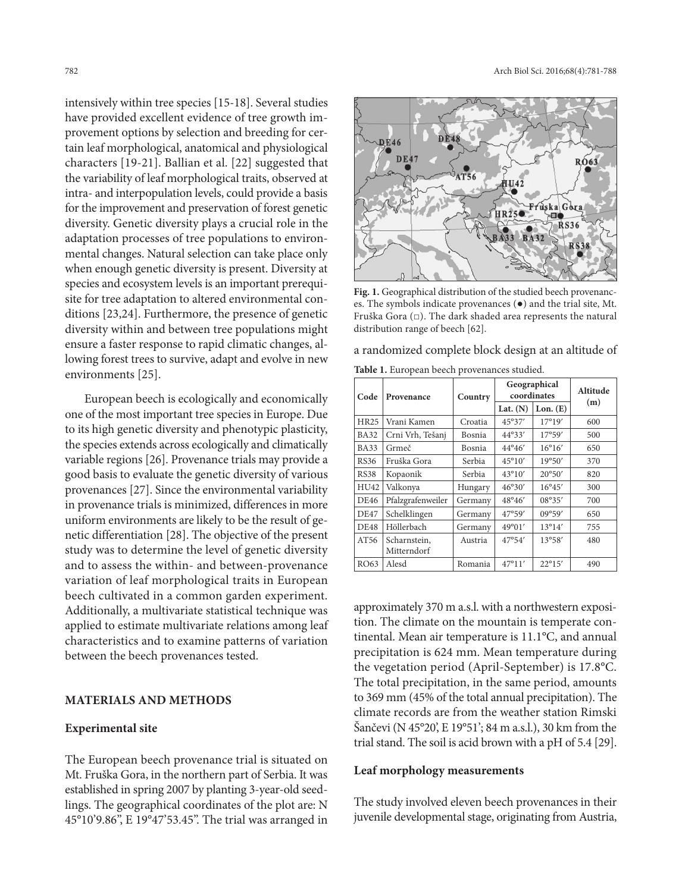intensively within tree species [15-18]. Several studies have provided excellent evidence of tree growth improvement options by selection and breeding for certain leaf morphological, anatomical and physiological characters [19-21]. Ballian et al. [22] suggested that the variability of leaf morphological traits, observed at intra- and interpopulation levels, could provide a basis for the improvement and preservation of forest genetic diversity. Genetic diversity plays a crucial role in the adaptation processes of tree populations to environmental changes. Natural selection can take place only when enough genetic diversity is present. Diversity at species and ecosystem levels is an important prerequisite for tree adaptation to altered environmental conditions [23,24]. Furthermore, the presence of genetic diversity within and between tree populations might ensure a faster response to rapid climatic changes, allowing forest trees to survive, adapt and evolve in new environments [25].

European beech is ecologically and economically one of the most important tree species in Europe. Due to its high genetic diversity and phenotypic plasticity, the species extends across ecologically and climatically variable regions [26]. Provenance trials may provide a good basis to evaluate the genetic diversity of various provenances [27]. Since the environmental variability in provenance trials is minimized, differences in more uniform environments are likely to be the result of genetic differentiation [28]. The objective of the present study was to determine the level of genetic diversity and to assess the within- and between-provenance variation of leaf morphological traits in European beech cultivated in a common garden experiment. Additionally, a multivariate statistical technique was applied to estimate multivariate relations among leaf characteristics and to examine patterns of variation between the beech provenances tested.

### **MATERIALS AND METHODS**

### **Experimental site**

The European beech provenance trial is situated on Mt. Fruška Gora, in the northern part of Serbia. It was established in spring 2007 by planting 3-year-old seedlings. The geographical coordinates of the plot are: N 45°10'9.86", E 19°47'53.45". The trial was arranged in



**Fig. 1.** Geographical distribution of the studied beech provenances. The symbols indicate provenances (●) and the trial site, Mt. Fruška Gora (□). The dark shaded area represents the natural distribution range of beech [62].

a randomized complete block design at an altitude of

**Table 1.** European beech provenances studied.

| Code        | Provenance                  | Country | Geographical<br>coordinates | Altitude        |     |  |
|-------------|-----------------------------|---------|-----------------------------|-----------------|-----|--|
|             |                             |         | Lat. $(N)$                  | Lon. (E)        | (m) |  |
| <b>HR25</b> | Vrani Kamen                 | Croatia | 45°37'                      | $17^{\circ}19'$ | 600 |  |
| <b>BA32</b> | Crni Vrh, Tešanj            | Bosnia  | $44^{\circ}33'$             | 17°59'          | 500 |  |
| <b>BA33</b> | Grmeč                       | Bosnia  | $44^{\circ}46'$             | $16^{\circ}16'$ | 650 |  |
| RS36        | Fruška Gora                 | Serbia  | $45^{\circ}10'$             | 19°50'          | 370 |  |
| <b>RS38</b> | Kopaonik                    | Serbia  | $43^{\circ}10'$             | $20^{\circ}50'$ | 820 |  |
| HU42        | Valkonya                    | Hungary | 46°30'                      | $16^{\circ}45'$ | 300 |  |
| <b>DE46</b> | Pfalzgrafenweiler           | Germany | $48^{\circ}46'$             | 08°35'          | 700 |  |
| <b>DE47</b> | Schelklingen                | Germany | 47°59'                      | 09°59'          | 650 |  |
| <b>DE48</b> | Höllerbach                  | Germany | 49°01'                      | 13°14'          | 755 |  |
| AT56        | Scharnstein,<br>Mitterndorf | Austria | 47°54'                      | 13°58'          | 480 |  |
| RO63        | Alesd                       | Romania | 47°11'                      | $22^{\circ}15'$ | 490 |  |

approximately 370 m a.s.l. with a northwestern exposition. The climate on the mountain is temperate continental. Mean air temperature is 11.1°C, and annual precipitation is 624 mm. Mean temperature during the vegetation period (April-September) is 17.8°C. The total precipitation, in the same period, amounts to 369 mm (45% of the total annual precipitation). The climate records are from the weather station Rimski Šančevi (N 45°20', E 19°51'; 84 m a.s.l.), 30 km from the trial stand. The soil is acid brown with a pH of 5.4 [29].

# **Leaf morphology measurements**

The study involved eleven beech provenances in their juvenile developmental stage, originating from Austria,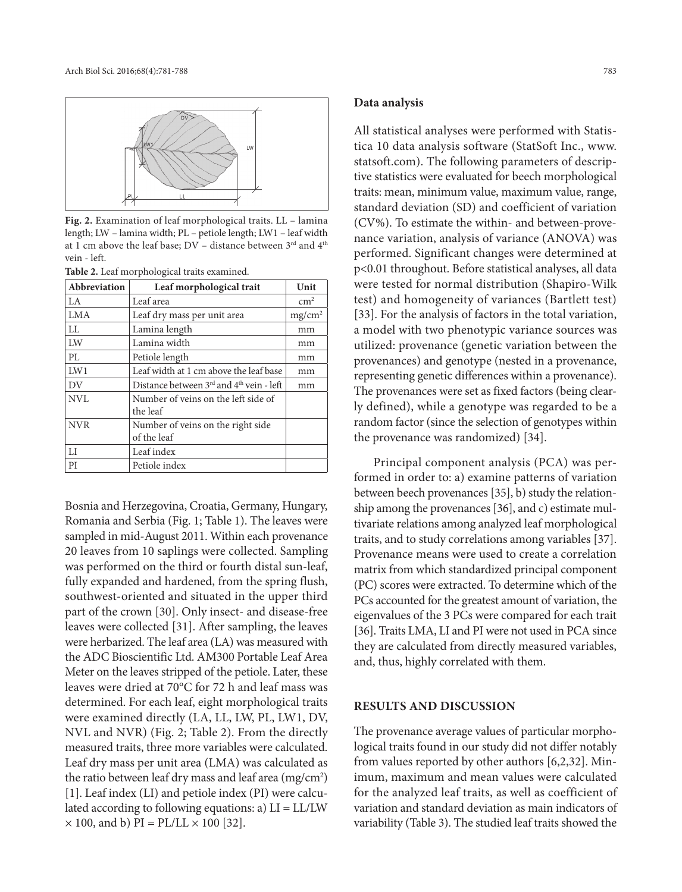

**Fig. 2.** Examination of leaf morphological traits. LL – lamina length; LW – lamina width; PL – petiole length; LW1 – leaf width at 1 cm above the leaf base;  $DV$  – distance between 3<sup>rd</sup> and 4<sup>th</sup> vein - left.

| Abbreviation | Leaf morphological trait                          | Unit       |
|--------------|---------------------------------------------------|------------|
| LA.          | Leaf area                                         | $\rm cm^2$ |
| <b>LMA</b>   | Leaf dry mass per unit area                       | $mg/cm^2$  |
| LI.          | Lamina length                                     | mm         |
| LW           | Lamina width                                      | mm         |
| PL           | Petiole length                                    | mm         |
| LW1          | Leaf width at 1 cm above the leaf base            | mm         |
| DV           | Distance between $3rd$ and $4th$ vein - left      | mm         |
| NVI.         | Number of veins on the left side of<br>the leaf   |            |
| <b>NVR</b>   | Number of veins on the right side.<br>of the leaf |            |
| LI           | Leaf index                                        |            |
| PI           | Petiole index                                     |            |

Bosnia and Herzegovina, Croatia, Germany, Hungary, Romania and Serbia (Fig. 1; Table 1). The leaves were sampled in mid-August 2011. Within each provenance 20 leaves from 10 saplings were collected. Sampling was performed on the third or fourth distal sun-leaf, fully expanded and hardened, from the spring flush, southwest-oriented and situated in the upper third part of the crown [30]. Only insect- and disease-free leaves were collected [31]. After sampling, the leaves were herbarized. The leaf area (LA) was measured with the ADC Bioscientific Ltd. AM300 Portable Leaf Area Meter on the leaves stripped of the petiole. Later, these leaves were dried at 70°C for 72 h and leaf mass was determined. For each leaf, eight morphological traits were examined directly (LA, LL, LW, PL, LW1, DV, NVL and NVR) (Fig. 2; Table 2). From the directly measured traits, three more variables were calculated. Leaf dry mass per unit area (LMA) was calculated as the ratio between leaf dry mass and leaf area  $\rm (mg/cm^{2})$ [1]. Leaf index (LI) and petiole index (PI) were calculated according to following equations: a)  $LI = LL/LW$  $\times$  100, and b) PI = PL/LL  $\times$  100 [32].

#### **Data analysis**

All statistical analyses were performed with Statistica 10 data analysis software (StatSoft Inc., www. statsoft.com). The following parameters of descriptive statistics were evaluated for beech morphological traits: mean, minimum value, maximum value, range, standard deviation (SD) and coefficient of variation (CV%). To estimate the within- and between-provenance variation, analysis of variance (ANOVA) was performed. Significant changes were determined at p<0.01 throughout. Before statistical analyses, all data were tested for normal distribution (Shapiro-Wilk test) and homogeneity of variances (Bartlett test) [33]. For the analysis of factors in the total variation, a model with two phenotypic variance sources was utilized: provenance (genetic variation between the provenances) and genotype (nested in a provenance, representing genetic differences within a provenance). The provenances were set as fixed factors (being clearly defined), while a genotype was regarded to be a random factor (since the selection of genotypes within the provenance was randomized) [34].

Principal component analysis (PCA) was performed in order to: a) examine patterns of variation between beech provenances [35], b) study the relationship among the provenances [36], and c) estimate multivariate relations among analyzed leaf morphological traits, and to study correlations among variables [37]. Provenance means were used to create a correlation matrix from which standardized principal component (PC) scores were extracted. To determine which of the PCs accounted for the greatest amount of variation, the eigenvalues of the 3 PCs were compared for each trait [36]. Traits LMA, LI and PI were not used in PCA since they are calculated from directly measured variables, and, thus, highly correlated with them.

## **RESULTS AND DISCUSSION**

The provenance average values of particular morphological traits found in our study did not differ notably from values reported by other authors [6,2,32]. Minimum, maximum and mean values were calculated for the analyzed leaf traits, as well as coefficient of variation and standard deviation as main indicators of variability (Table 3). The studied leaf traits showed the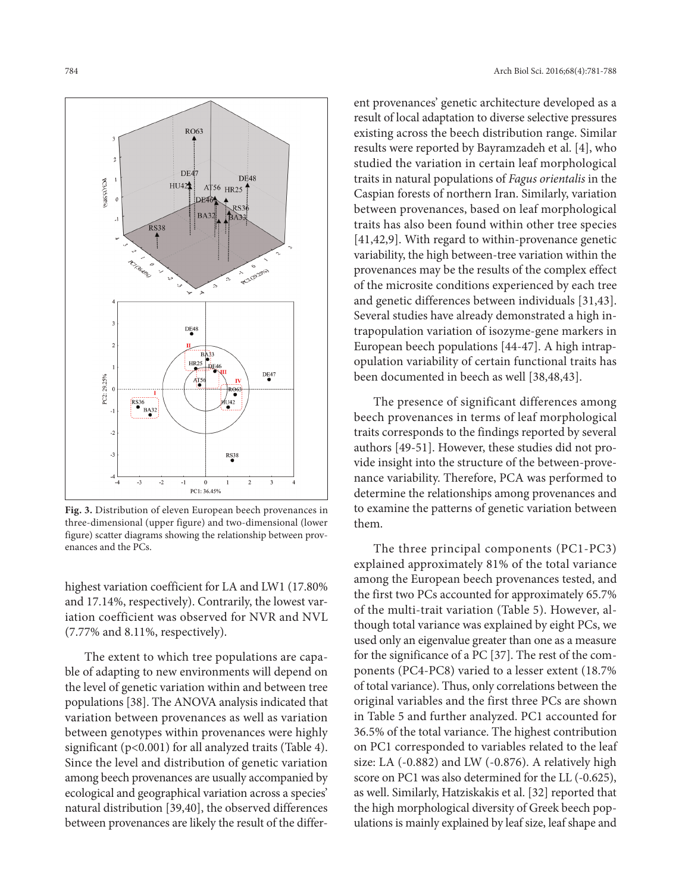

**Fig. 3.** Distribution of eleven European beech provenances in three-dimensional (upper figure) and two-dimensional (lower figure) scatter diagrams showing the relationship between provenances and the PCs.

highest variation coefficient for LA and LW1 (17.80% and 17.14%, respectively). Contrarily, the lowest variation coefficient was observed for NVR and NVL (7.77% and 8.11%, respectively).

The extent to which tree populations are capable of adapting to new environments will depend on the level of genetic variation within and between tree populations [38]. The ANOVA analysis indicated that variation between provenances as well as variation between genotypes within provenances were highly significant (p<0.001) for all analyzed traits (Table 4). Since the level and distribution of genetic variation among beech provenances are usually accompanied by ecological and geographical variation across a species' natural distribution [39,40], the observed differences between provenances are likely the result of the differ-

ent provenances' genetic architecture developed as a result of local adaptation to diverse selective pressures existing across the beech distribution range. Similar results were reported by Bayramzadeh et al. [4], who studied the variation in certain leaf morphological traits in natural populations of *Fagus orientalis* in the Caspian forests of northern Iran. Similarly, variation between provenances, based on leaf morphological traits has also been found within other tree species [41,42,9]. With regard to within-provenance genetic variability, the high between-tree variation within the provenances may be the results of the complex effect of the microsite conditions experienced by each tree and genetic differences between individuals [31,43]. Several studies have already demonstrated a high intrapopulation variation of isozyme-gene markers in European beech populations [44-47]. A high intrapopulation variability of certain functional traits has been documented in beech as well [38,48,43].

The presence of significant differences among beech provenances in terms of leaf morphological traits corresponds to the findings reported by several authors [49-51]. However, these studies did not provide insight into the structure of the between-provenance variability. Therefore, PCA was performed to determine the relationships among provenances and to examine the patterns of genetic variation between them.

The three principal components (PC1-PC3) explained approximately 81% of the total variance among the European beech provenances tested, and the first two PCs accounted for approximately 65.7% of the multi-trait variation (Table 5). However, although total variance was explained by eight PCs, we used only an eigenvalue greater than one as a measure for the significance of a PC [37]. The rest of the components (PC4-PC8) varied to a lesser extent (18.7% of total variance). Thus, only correlations between the original variables and the first three PCs are shown in Table 5 and further analyzed. PC1 accounted for 36.5% of the total variance. The highest contribution on PC1 corresponded to variables related to the leaf size: LA (-0.882) and LW (-0.876). A relatively high score on PC1 was also determined for the LL (-0.625), as well. Similarly, Hatziskakis et al. [32] reported that the high morphological diversity of Greek beech populations is mainly explained by leaf size, leaf shape and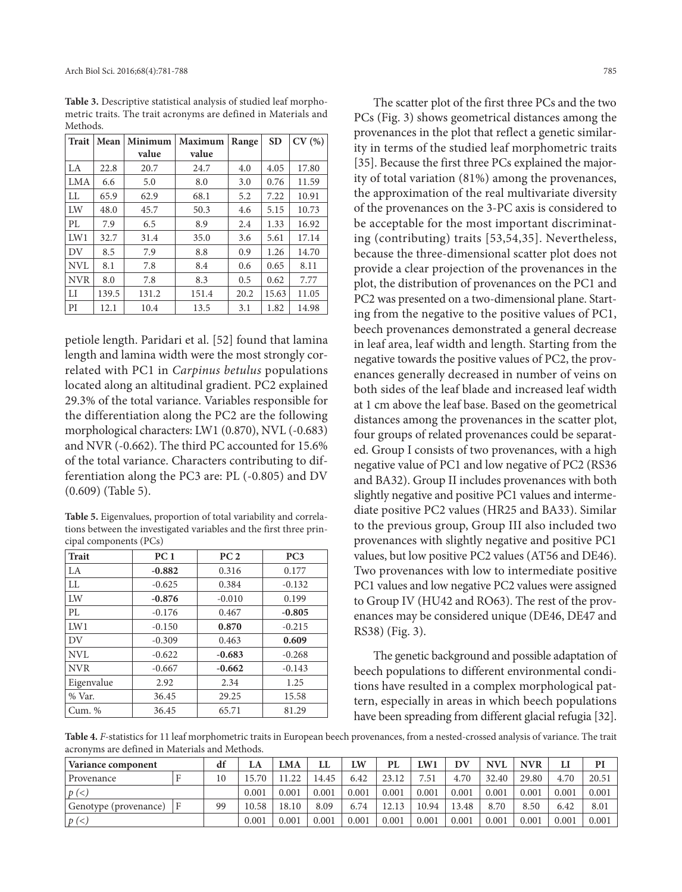| Methods.     |       |         |                |       |           |       |  |  |  |  |
|--------------|-------|---------|----------------|-------|-----------|-------|--|--|--|--|
| <b>Trait</b> | Mean  | Minimum | <b>Maximum</b> | Range | <b>SD</b> | CV(%) |  |  |  |  |
|              |       | value   | value          |       |           |       |  |  |  |  |
| LA           | 22.8  | 20.7    | 24.7           | 4.0   | 4.05      | 17.80 |  |  |  |  |
| <b>LMA</b>   | 6.6   | 5.0     | 8.0            | 3.0   | 0.76      | 11.59 |  |  |  |  |
| LL           | 65.9  | 62.9    | 68.1           | 5.2   | 7.22      | 10.91 |  |  |  |  |
| LW           | 48.0  | 45.7    | 50.3           | 4.6   | 5.15      | 10.73 |  |  |  |  |
| PL           | 7.9   | 6.5     | 8.9            | 2.4   | 1.33      | 16.92 |  |  |  |  |
| LW1          | 32.7  | 31.4    | 35.0           | 3.6   | 5.61      | 17.14 |  |  |  |  |
| DV           | 8.5   | 7.9     | 8.8            | 0.9   | 1.26      | 14.70 |  |  |  |  |
| <b>NVL</b>   | 8.1   | 7.8     | 8.4            | 0.6   | 0.65      | 8.11  |  |  |  |  |
| <b>NVR</b>   | 8.0   | 7.8     | 8.3            | 0.5   | 0.62      | 7.77  |  |  |  |  |
| $_{\rm LI}$  | 139.5 | 131.2   | 151.4          | 20.2  | 15.63     | 11.05 |  |  |  |  |
| PI           | 12.1  | 10.4    | 13.5           | 3.1   | 1.82      | 14.98 |  |  |  |  |

**Table 3.** Descriptive statistical analysis of studied leaf morphometric traits. The trait acronyms are defined in Materials and Methods.

petiole length. Paridari et al. [52] found that lamina length and lamina width were the most strongly correlated with PC1 in *Carpinus betulus* populations located along an altitudinal gradient. PC2 explained 29.3% of the total variance. Variables responsible for the differentiation along the PC2 are the following morphological characters: LW1 (0.870), NVL (-0.683) and NVR (-0.662). The third PC accounted for 15.6% of the total variance. Characters contributing to differentiation along the PC3 are: PL (-0.805) and DV (0.609) (Table 5).

**Table 5.** Eigenvalues, proportion of total variability and correlations between the investigated variables and the first three principal components (PCs)

| <b>Trait</b> | PC <sub>1</sub> | PC <sub>2</sub> | PC3      |  |  |
|--------------|-----------------|-----------------|----------|--|--|
| LA           | $-0.882$        | 0.316           | 0.177    |  |  |
| <b>LL</b>    | $-0.625$        | 0.384           | $-0.132$ |  |  |
| LW           | $-0.876$        | $-0.010$        | 0.199    |  |  |
| PI.          | $-0.176$        | 0.467           | $-0.805$ |  |  |
| LW1          | $-0.150$        | 0.870           | $-0.215$ |  |  |
| DV           | $-0.309$        | 0.463           | 0.609    |  |  |
| NVI.         | $-0.622$        | $-0.683$        | $-0.268$ |  |  |
| <b>NVR</b>   | $-0.667$        | $-0.662$        | $-0.143$ |  |  |
| Eigenvalue   | 2.92            | 2.34            | 1.25     |  |  |
| % Var.       | 36.45           | 29.25           | 15.58    |  |  |
| Cum. %       | 36.45           | 65.71           | 81.29    |  |  |

The scatter plot of the first three PCs and the two PCs (Fig. 3) shows geometrical distances among the provenances in the plot that reflect a genetic similarity in terms of the studied leaf morphometric traits [35]. Because the first three PCs explained the majority of total variation (81%) among the provenances, the approximation of the real multivariate diversity of the provenances on the 3-PC axis is considered to be acceptable for the most important discriminating (contributing) traits [53,54,35]. Nevertheless, because the three-dimensional scatter plot does not provide a clear projection of the provenances in the plot, the distribution of provenances on the PC1 and PC2 was presented on a two-dimensional plane. Starting from the negative to the positive values of PC1, beech provenances demonstrated a general decrease in leaf area, leaf width and length. Starting from the negative towards the positive values of PC2, the provenances generally decreased in number of veins on both sides of the leaf blade and increased leaf width at 1 cm above the leaf base. Based on the geometrical distances among the provenances in the scatter plot, four groups of related provenances could be separated. Group I consists of two provenances, with a high negative value of PC1 and low negative of PC2 (RS36 and BA32). Group II includes provenances with both slightly negative and positive PC1 values and intermediate positive PC2 values (HR25 and BA33). Similar to the previous group, Group III also included two provenances with slightly negative and positive PC1 values, but low positive PC2 values (AT56 and DE46). Two provenances with low to intermediate positive PC1 values and low negative PC2 values were assigned to Group IV (HU42 and RO63). The rest of the provenances may be considered unique (DE46, DE47 and RS38) (Fig. 3).

The genetic background and possible adaptation of beech populations to different environmental conditions have resulted in a complex morphological pattern, especially in areas in which beech populations have been spreading from different glacial refugia [32].

**Table 4.** *F*-statistics for 11 leaf morphometric traits in European beech provenances, from a nested-crossed analysis of variance. The trait acronyms are defined in Materials and Methods.

| Variance component    | df | LA | <b>LMA</b> | LL    | LW    | PL    | LW1   | DV    | NVL   | <b>NVR</b> |       | PI    |       |
|-----------------------|----|----|------------|-------|-------|-------|-------|-------|-------|------------|-------|-------|-------|
| Provenance            |    | 10 | 15.70      | 11.22 | 4.45  | 6.42  | 23.12 | 7.51  | 4.70  | 32.40      | 29.80 | 4.70  | 20.51 |
| $p(\le)$              |    |    | 0.001      | 0.001 | 0.001 | 0.001 | 0.001 | 0.001 | 0.001 | 0.001      | 0.001 | 0.001 | 0.001 |
| Genotype (provenance) | F  | 99 | 10.58      | 18.10 | 8.09  | 6.74  | 12.13 | 10.94 | 13.48 | 8.70       | 8.50  | 6.42  | 8.01  |
| $p(\le)$              |    |    | 0.001      | 0.001 | 0.001 | 0.001 | 0.001 | 0.001 | 0.001 | 0.001      | 0.001 | 0.001 | 0.001 |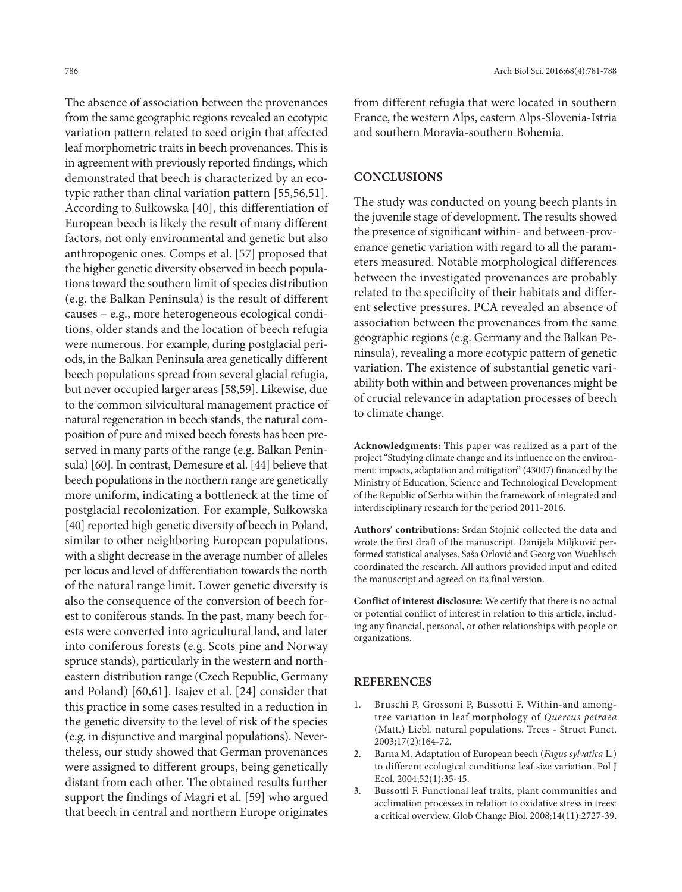The absence of association between the provenances from the same geographic regions revealed an ecotypic variation pattern related to seed origin that affected leaf morphometric traits in beech provenances. This is in agreement with previously reported findings, which demonstrated that beech is characterized by an ecotypic rather than clinal variation pattern [55,56,51]. According to Sułkowska [40], this differentiation of European beech is likely the result of many different factors, not only environmental and genetic but also anthropogenic ones. Comps et al. [57] proposed that the higher genetic diversity observed in beech populations toward the southern limit of species distribution (e.g. the Balkan Peninsula) is the result of different causes – e.g., more heterogeneous ecological conditions, older stands and the location of beech refugia were numerous. For example, during postglacial periods, in the Balkan Peninsula area genetically different beech populations spread from several glacial refugia, but never occupied larger areas [58,59]. Likewise, due to the common silvicultural management practice of natural regeneration in beech stands, the natural composition of pure and mixed beech forests has been preserved in many parts of the range (e.g. Balkan Peninsula) [60]. In contrast, Demesure et al. [44] believe that beech populations in the northern range are genetically more uniform, indicating a bottleneck at the time of postglacial recolonization. For example, Sułkowska [40] reported high genetic diversity of beech in Poland, similar to other neighboring European populations, with a slight decrease in the average number of alleles per locus and level of differentiation towards the north of the natural range limit. Lower genetic diversity is also the consequence of the conversion of beech forest to coniferous stands. In the past, many beech forests were converted into agricultural land, and later into coniferous forests (e.g. Scots pine and Norway spruce stands), particularly in the western and northeastern distribution range (Czech Republic, Germany and Poland) [60,61]. Isajev et al. [24] consider that this practice in some cases resulted in a reduction in the genetic diversity to the level of risk of the species (e.g. in disjunctive and marginal populations). Nevertheless, our study showed that German provenances were assigned to different groups, being genetically distant from each other. The obtained results further support the findings of Magri et al. [59] who argued that beech in central and northern Europe originates

from different refugia that were located in southern France, the western Alps, eastern Alps-Slovenia-Istria and southern Moravia-southern Bohemia.

# **CONCLUSIONS**

The study was conducted on young beech plants in the juvenile stage of development. The results showed the presence of significant within- and between-provenance genetic variation with regard to all the parameters measured. Notable morphological differences between the investigated provenances are probably related to the specificity of their habitats and different selective pressures. PCA revealed an absence of association between the provenances from the same geographic regions (e.g. Germany and the Balkan Peninsula), revealing a more ecotypic pattern of genetic variation. The existence of substantial genetic variability both within and between provenances might be of crucial relevance in adaptation processes of beech to climate change.

**Acknowledgments:** This paper was realized as a part of the project "Studying climate change and its influence on the environment: impacts, adaptation and mitigation" (43007) financed by the Ministry of Education, Science and Technological Development of the Republic of Serbia within the framework of integrated and interdisciplinary research for the period 2011-2016.

**Authors' contributions:** Srđan Stojnić collected the data and wrote the first draft of the manuscript. Danijela Miljković performed statistical analyses. Saša Orlović and Georg von Wuehlisch coordinated the research. All authors provided input and edited the manuscript and agreed on its final version.

**Conflict of interest disclosure:** We certify that there is no actual or potential conflict of interest in relation to this article, including any financial, personal, or other relationships with people or organizations.

## **REFERENCES**

- 1. Bruschi P, Grossoni P, Bussotti F. Within-and amongtree variation in leaf morphology of *Quercus petraea* (Matt.) Liebl. natural populations. Trees - Struct Funct. 2003;17(2):164-72.
- 2. Barna M. Adaptation of European beech (*Fagus sylvatica* L.) to different ecological conditions: leaf size variation. Pol J Ecol. 2004;52(1):35-45.
- 3. Bussotti F. Functional leaf traits, plant communities and acclimation processes in relation to oxidative stress in trees: a critical overview. Glob Change Biol. 2008;14(11):2727-39.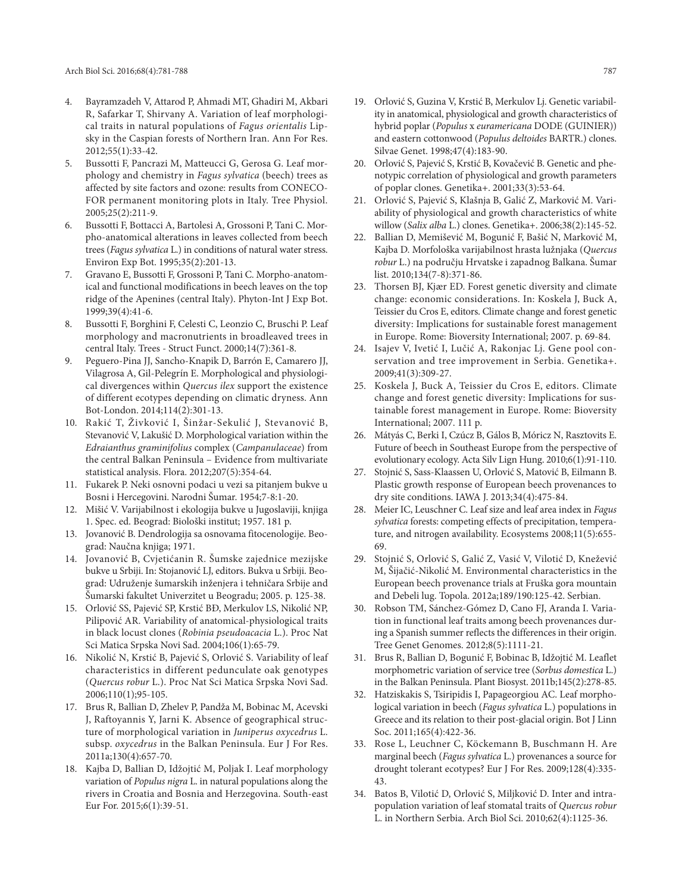- 4. Bayramzadeh V, Attarod P, Ahmadi MT, Ghadiri M, Akbari R, Safarkar T, Shirvany A. Variation of leaf morphological traits in natural populations of *Fagus orientalis* Lipsky in the Caspian forests of Northern Iran. Ann For Res. 2012;55(1):33-42.
- 5. Bussotti F, Pancrazi M, Matteucci G, Gerosa G. Leaf morphology and chemistry in *Fagus sylvatica* (beech) trees as affected by site factors and ozone: results from CONECO-FOR permanent monitoring plots in Italy. Tree Physiol. 2005;25(2):211-9.
- 6. Bussotti F, Bottacci A, Bartolesi A, Grossoni P, Tani C. Morpho-anatomical alterations in leaves collected from beech trees (*Fagus sylvatica* L.) in conditions of natural water stress. Environ Exp Bot. 1995;35(2):201-13.
- 7. Gravano E, Bussotti F, Grossoni P, Tani C. Morpho-anatomical and functional modifications in beech leaves on the top ridge of the Apenines (central Italy). Phyton-Int J Exp Bot. 1999;39(4):41-6.
- 8. Bussotti F, Borghini F, Celesti C, Leonzio C, Bruschi P. Leaf morphology and macronutrients in broadleaved trees in central Italy. Trees - Struct Funct. 2000;14(7):361-8.
- 9. Peguero-Pina JJ, Sancho-Knapik D, Barrón E, Camarero JJ, Vilagrosa A, Gil-Pelegrín E. Morphological and physiological divergences within *Quercus ilex* support the existence of different ecotypes depending on climatic dryness. Ann Bot-London. 2014;114(2):301-13.
- 10. Rakić T, Živković I, Šinžar-Sekulić J, Stevanović B, Stevanović V, Lakušić D. Morphological variation within the *Edraianthus graminifolius* complex (*Campanulaceae*) from the central Balkan Peninsula – Evidence from multivariate statistical analysis. Flora. 2012;207(5):354-64.
- 11. Fukarek P. Neki osnovni podaci u vezi sa pitanjem bukve u Bosni i Hercegovini. Narodni Šumar. 1954;7-8:1-20.
- 12. Mišić V. Varijabilnost i ekologija bukve u Jugoslaviji, knjiga 1. Spec. ed. Beograd: Biološki institut; 1957. 181 p.
- 13. Jovanović B. Dendrologija sa osnovama fitocenologije. Beograd: Naučna knjiga; 1971.
- 14. Jovanović B, Cvjetićanin R. Šumske zajednice mezijske bukve u Srbiji. In: Stojanović LJ, editors. Bukva u Srbiji. Beograd: Udruženje šumarskih inženjera i tehničara Srbije and Šumarski fakultet Univerzitet u Beogradu; 2005. p. 125-38.
- 15. Orlović SS, Pajević SP, Krstić BĐ, Merkulov LS, Nikolić NP, Pilipović AR. Variability of anatomical-physiological traits in black locust clones (*Robinia pseudoacacia* L.). Proc Nat Sci Matica Srpska Novi Sad. 2004;106(1):65-79.
- 16. Nikolić N, Krstić B, Pajević S, Orlović S. Variability of leaf characteristics in different pedunculate oak genotypes (*Quercus robur* L.). Proc Nat Sci Matica Srpska Novi Sad. 2006;110(1);95-105.
- 17. Brus R, Ballian D, Zhelev P, Pandža M, Bobinac M, Acevski J, Raftoyannis Y, Jarni K. Absence of geographical structure of morphological variation in *Juniperus oxycedrus* L. subsp. *oxycedrus* in the Balkan Peninsula. Eur J For Res. 2011a;130(4):657-70.
- 18. Kajba D, Ballian D, Idžojtić M, Poljak I. Leaf morphology variation of *Populus nigra* L. in natural populations along the rivers in Croatia and Bosnia and Herzegovina. South-east Eur For. 2015;6(1):39-51.
- 19. Orlović S, Guzina V, Krstić B, Merkulov Lj. Genetic variability in anatomical, physiological and growth characteristics of hybrid poplar (*Populus* x *euramericana* DODE (GUINIER)) and eastern cottonwood (*Populus deltoides* BARTR.) clones. Silvae Genet. 1998;47(4):183-90.
- 20. Orlović S, Pajević S, Krstić B, Kovačević B. Genetic and phenotypic correlation of physiological and growth parameters of poplar clones. Genetika+. 2001;33(3):53-64.
- 21. Orlović S, Pajević S, Klašnja B, Galić Z, Marković M. Variability of physiological and growth characteristics of white willow (*Salix alba* L.) clones. Genetika+. 2006;38(2):145-52.
- 22. Ballian D, Memišević M, Bogunić F, Bašić N, Marković M, Kajba D. Morfološka varijabilnost hrasta lužnjaka (*Quercus robur* L.) na području Hrvatske i zapadnog Balkana. Šumar list. 2010;134(7-8):371-86.
- 23. Thorsen BJ, Kjær ED. Forest genetic diversity and climate change: economic considerations. In: Koskela J, Buck A, Teissier du Cros E, editors. Climate change and forest genetic diversity: Implications for sustainable forest management in Europe. Rome: Bioversity International; 2007. p. 69-84.
- 24. Isajev V, Ivetić I, Lučić A, Rakonjac Lj. Gene pool conservation and tree improvement in Serbia. Genetika+. 2009;41(3):309-27.
- 25. Koskela J, Buck A, Teissier du Cros E, editors. Climate change and forest genetic diversity: Implications for sustainable forest management in Europe. Rome: Bioversity International; 2007. 111 p.
- 26. Mátyás C, Berki I, Czúcz B, Gálos B, Móricz N, Rasztovits E. Future of beech in Southeast Europe from the perspective of evolutionary ecology. Acta Silv Lign Hung. 2010;6(1):91-110.
- 27. Stojnić S, Sass-Klaassen U, Orlović S, Matović B, Eilmann B. Plastic growth response of European beech provenances to dry site conditions. IAWA J. 2013;34(4):475-84.
- 28. Meier IC, Leuschner C. Leaf size and leaf area index in *Fagus sylvatica* forests: competing effects of precipitation, temperature, and nitrogen availability. Ecosystems 2008;11(5):655- 69.
- 29. Stojnić S, Orlović S, Galić Z, Vasić V, Vilotić D, Knežević M, Šijačić-Nikolić M. Environmental characteristics in the European beech provenance trials at Fruška gora mountain and Debeli lug. Topola. 2012a;189/190:125-42. Serbian.
- 30. Robson TM, Sánchez-Gómez D, Cano FJ, Aranda I. Variation in functional leaf traits among beech provenances during a Spanish summer reflects the differences in their origin. Tree Genet Genomes. 2012;8(5):1111-21.
- 31. Brus R, Ballian D, Bogunić F, Bobinac B, Idžojtić M. Leaflet morphometric variation of service tree (*Sorbus domestica* L.) in the Balkan Peninsula. Plant Biosyst. 2011b;145(2):278-85.
- 32. Hatziskakis S, Tsiripidis I, Papageorgiou AC. Leaf morphological variation in beech (*Fagus sylvatica* L.) populations in Greece and its relation to their post-glacial origin. Bot J Linn Soc. 2011;165(4):422-36.
- 33. Rose L, Leuchner C, Köckemann B, Buschmann H. Are marginal beech (*Fagus sylvatica* L.) provenances a source for drought tolerant ecotypes? Eur J For Res. 2009;128(4):335- 43.
- 34. Batos B, Vilotić D, Orlović S, Miljković D. Inter and intrapopulation variation of leaf stomatal traits of *Quercus robur* L. in Northern Serbia. Arch Biol Sci. 2010;62(4):1125-36.